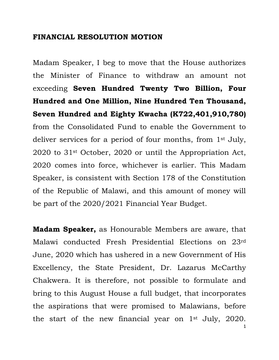### **FINANCIAL RESOLUTION MOTION**

Madam Speaker, I beg to move that the House authorizes the Minister of Finance to withdraw an amount not exceeding **Seven Hundred Twenty Two Billion, Four Hundred and One Million, Nine Hundred Ten Thousand, Seven Hundred and Eighty Kwacha (K722,401,910,780)** from the Consolidated Fund to enable the Government to deliver services for a period of four months, from 1st July, 2020 to 31st October, 2020 or until the Appropriation Act, 2020 comes into force, whichever is earlier. This Madam Speaker, is consistent with Section 178 of the Constitution of the Republic of Malawi, and this amount of money will be part of the 2020/2021 Financial Year Budget.

**Madam Speaker,** as Honourable Members are aware, that Malawi conducted Fresh Presidential Elections on 23rd June, 2020 which has ushered in a new Government of His Excellency, the State President, Dr. Lazarus McCarthy Chakwera. It is therefore, not possible to formulate and bring to this August House a full budget, that incorporates the aspirations that were promised to Malawians, before the start of the new financial year on 1st July, 2020.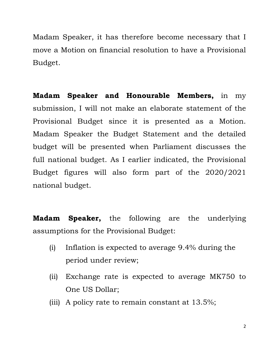Madam Speaker, it has therefore become necessary that I move a Motion on financial resolution to have a Provisional Budget.

**Madam Speaker and Honourable Members,** in my submission, I will not make an elaborate statement of the Provisional Budget since it is presented as a Motion. Madam Speaker the Budget Statement and the detailed budget will be presented when Parliament discusses the full national budget. As I earlier indicated, the Provisional Budget figures will also form part of the 2020/2021 national budget.

**Madam Speaker,** the following are the underlying assumptions for the Provisional Budget:

- (i) Inflation is expected to average 9.4% during the period under review;
- (ii) Exchange rate is expected to average MK750 to One US Dollar;
- (iii) A policy rate to remain constant at 13.5%;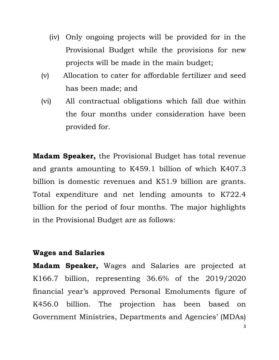- (iv) Only ongoing projects will be provided for in the Provisional Budget while the provisions for new projects will be made in the main budget;
- (v) Allocation to cater for affordable fertilizer and seed has been made; and
- (vi) All contractual obligations which fall due within the four months under consideration have been provided for.

**Madam Speaker,** the Provisional Budget has total revenue and grants amounting to K459.1 billion of which K407.3 billion is domestic revenues and K51.9 billion are grants. Total expenditure and net lending amounts to K722.4 billion for the period of four months. The major highlights in the Provisional Budget are as follows:

### **Wages and Salaries**

**Madam Speaker,** Wages and Salaries are projected at K166.7 billion, representing 36.6% of the 2019/2020 financial year's approved Personal Emoluments figure of K456.0 billion. The projection has been based on Government Ministries, Departments and Agencies' (MDAs)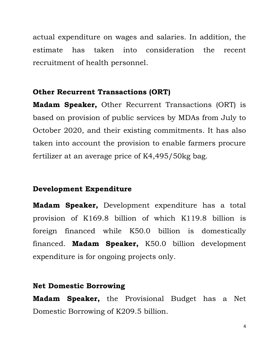actual expenditure on wages and salaries. In addition, the estimate has taken into consideration the recent recruitment of health personnel.

### **Other Recurrent Transactions (ORT)**

**Madam Speaker,** Other Recurrent Transactions (ORT) is based on provision of public services by MDAs from July to October 2020, and their existing commitments. It has also taken into account the provision to enable farmers procure fertilizer at an average price of K4,495/50kg bag.

# **Development Expenditure**

**Madam Speaker,** Development expenditure has a total provision of K169.8 billion of which K119.8 billion is foreign financed while K50.0 billion is domestically financed. **Madam Speaker,** K50.0 billion development expenditure is for ongoing projects only.

# **Net Domestic Borrowing**

**Madam Speaker,** the Provisional Budget has a Net Domestic Borrowing of K209.5 billion.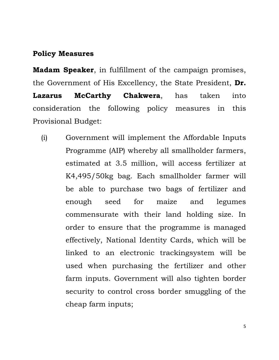### **Policy Measures**

**Madam Speaker**, in fulfillment of the campaign promises, the Government of His Excellency, the State President, **Dr. Lazarus McCarthy Chakwera**, has taken into consideration the following policy measures in this Provisional Budget:

(i) Government will implement the Affordable Inputs Programme (AIP) whereby all smallholder farmers, estimated at 3.5 million, will access fertilizer at K4,495/50kg bag. Each smallholder farmer will be able to purchase two bags of fertilizer and enough seed for maize and legumes commensurate with their land holding size. In order to ensure that the programme is managed effectively, National Identity Cards, which will be linked to an electronic trackingsystem will be used when purchasing the fertilizer and other farm inputs. Government will also tighten border security to control cross border smuggling of the cheap farm inputs;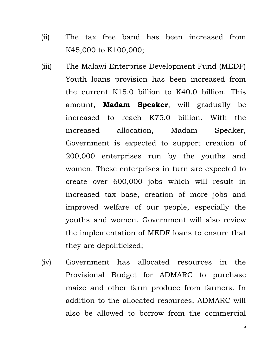- (ii) The tax free band has been increased from K45,000 to K100,000;
- (iii) The Malawi Enterprise Development Fund (MEDF) Youth loans provision has been increased from the current K15.0 billion to K40.0 billion. This amount, **Madam Speaker**, will gradually be increased to reach K75.0 billion. With the increased allocation, Madam Speaker, Government is expected to support creation of 200,000 enterprises run by the youths and women. These enterprises in turn are expected to create over 600,000 jobs which will result in increased tax base, creation of more jobs and improved welfare of our people, especially the youths and women. Government will also review the implementation of MEDF loans to ensure that they are depoliticized;
- (iv) Government has allocated resources in the Provisional Budget for ADMARC to purchase maize and other farm produce from farmers. In addition to the allocated resources, ADMARC will also be allowed to borrow from the commercial

6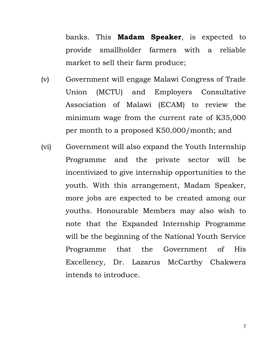banks. This **Madam Speaker**, is expected to provide smallholder farmers with a reliable market to sell their farm produce;

- (v) Government will engage Malawi Congress of Trade Union (MCTU) and Employers Consultative Association of Malawi (ECAM) to review the minimum wage from the current rate of K35,000 per month to a proposed K50,000/month; and
- (vi) Government will also expand the Youth Internship Programme and the private sector will be incentivized to give internship opportunities to the youth. With this arrangement, Madam Speaker, more jobs are expected to be created among our youths. Honourable Members may also wish to note that the Expanded Internship Programme will be the beginning of the National Youth Service Programme that the Government of His Excellency, Dr. Lazarus McCarthy Chakwera intends to introduce.